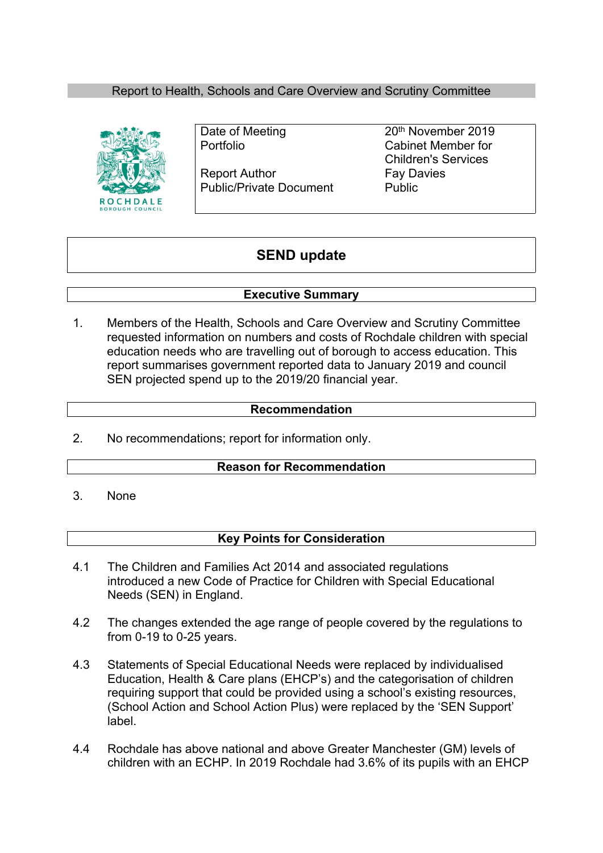## Report to Health, Schools and Care Overview and Scrutiny Committee



Report Author Fay Davies Public/Private Document Public

Date of Meeting 20<sup>th</sup> November 2019 Portfolio Cabinet Member for Children's Services

# **SEND update**

### **Executive Summary**

1. Members of the Health, Schools and Care Overview and Scrutiny Committee requested information on numbers and costs of Rochdale children with special education needs who are travelling out of borough to access education. This report summarises government reported data to January 2019 and council SEN projected spend up to the 2019/20 financial year.

### **Recommendation**

2. No recommendations; report for information only.

### **Reason for Recommendation**

3. None

### **Key Points for Consideration**

- 4.1 The Children and Families Act 2014 and associated regulations introduced a new Code of Practice for Children with Special Educational Needs (SEN) in England.
- 4.2 The changes extended the age range of people covered by the regulations to from 0-19 to 0-25 years.
- 4.3 Statements of Special Educational Needs were replaced by individualised Education, Health & Care plans (EHCP's) and the categorisation of children requiring support that could be provided using a school's existing resources, (School Action and School Action Plus) were replaced by the 'SEN Support' label.
- 4.4 Rochdale has above national and above Greater Manchester (GM) levels of children with an ECHP. In 2019 Rochdale had 3.6% of its pupils with an EHCP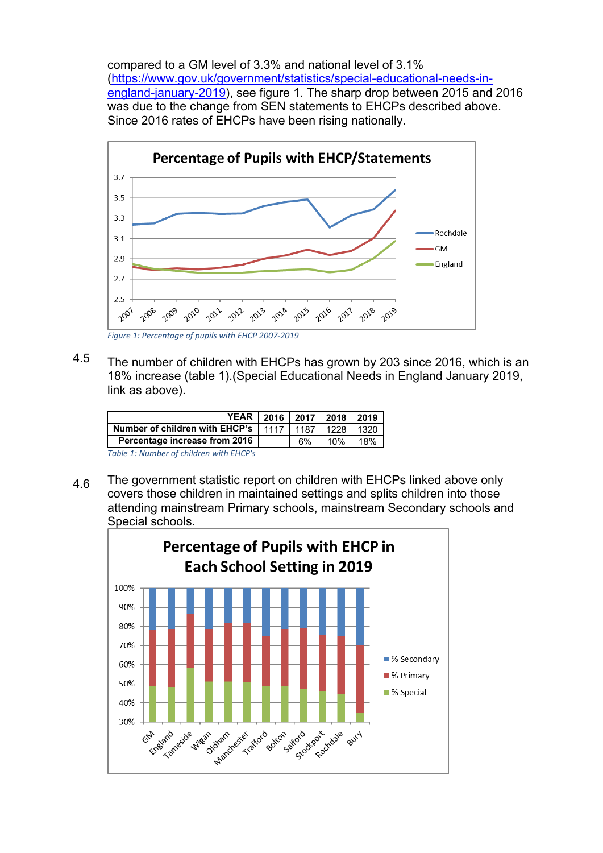compared to a GM level of 3.3% and national level of 3.1% [\(https://www.gov.uk/government/statistics/special-educational-needs-in](https://www.gov.uk/government/statistics/special-educational-needs-in-england-january-2019)[england-january-2019\)](https://www.gov.uk/government/statistics/special-educational-needs-in-england-january-2019), see figure 1. The sharp drop between 2015 and 2016 was due to the change from SEN statements to EHCPs described above. Since 2016 rates of EHCPs have been rising nationally.



*Figure 1: Percentage of pupils with EHCP 2007-2019*

4.5 The number of children with EHCPs has grown by 203 since 2016, which is an 18% increase (table 1).(Special Educational Needs in England January 2019, link as above).

| YEAR   2016   2017   2018   2019        |      |      |      |      |
|-----------------------------------------|------|------|------|------|
| Number of children with EHCP's          | 1117 | 1187 | 1228 | 1320 |
| Percentage increase from 2016           |      | 6%   | 10%  | 18%  |
| Table 1: Number of children with EHCP's |      |      |      |      |

4.6 The government statistic report on children with EHCPs linked above only covers those children in maintained settings and splits children into those attending mainstream Primary schools, mainstream Secondary schools and Special schools.

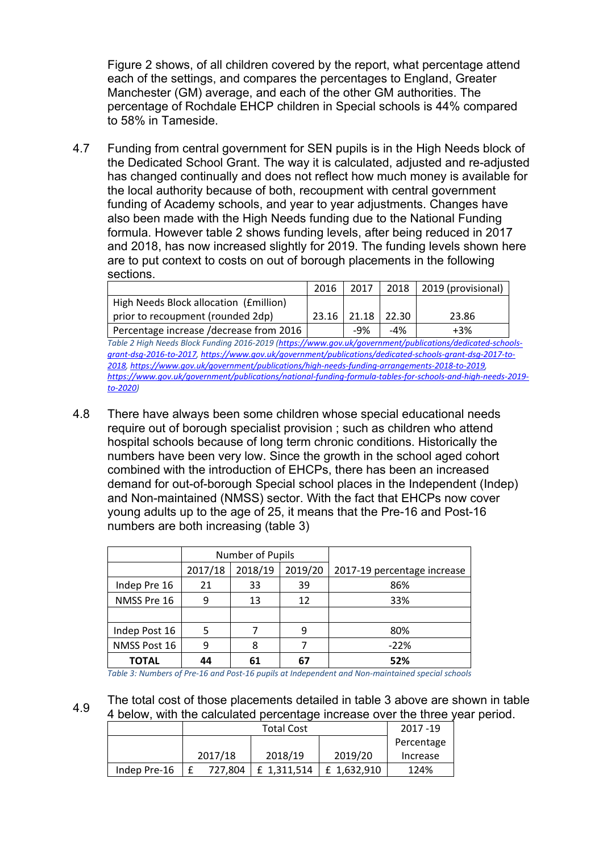Figure 2 shows, of all children covered by the report, what percentage attend each of the settings, and compares the percentages to England, Greater Manchester (GM) average, and each of the other GM authorities. The percentage of Rochdale EHCP children in Special schools is 44% compared to 58% in Tameside.

4.7 Funding from central government for SEN pupils is in the High Needs block of the Dedicated School Grant. The way it is calculated, adjusted and re-adjusted has changed continually and does not reflect how much money is available for the local authority because of both, recoupment with central government funding of Academy schools, and year to year adjustments. Changes have also been made with the High Needs funding due to the National Funding formula. However table 2 shows funding levels, after being reduced in 2017 and 2018, has now increased slightly for 2019. The funding levels shown here are to put context to costs on out of borough placements in the following sections.

|                                         | 2016    | 2017          |       | $2018$   2019 (provisional) |
|-----------------------------------------|---------|---------------|-------|-----------------------------|
| High Needs Block allocation (Emillion)  |         |               |       |                             |
| prior to recoupment (rounded 2dp)       | $23.16$ | $21.18$ 22.30 |       | 23.86                       |
| Percentage increase /decrease from 2016 |         | -9%           | $-4%$ | +3%                         |

*Table 2 High Needs Block Funding 2016-2019 [\(https://www.gov.uk/government/publications/dedicated-schools](https://www.gov.uk/government/publications/dedicated-schools-grant-dsg-2016-to-2017)[grant-dsg-2016-to-2017,](https://www.gov.uk/government/publications/dedicated-schools-grant-dsg-2016-to-2017) [https://www.gov.uk/government/publications/dedicated-schools-grant-dsg-2017-to-](https://www.gov.uk/government/publications/dedicated-schools-grant-dsg-2017-to-2018)[2018](https://www.gov.uk/government/publications/dedicated-schools-grant-dsg-2017-to-2018), [https://www.gov.uk/government/publications/high-needs-funding-arrangements-2018-to-2019,](https://www.gov.uk/government/publications/high-needs-funding-arrangements-2018-to-2019) [https://www.gov.uk/government/publications/national-funding-formula-tables-for-schools-and-high-needs-2019](https://www.gov.uk/government/publications/national-funding-formula-tables-for-schools-and-high-needs-2019-to-2020) [to-2020\)](https://www.gov.uk/government/publications/national-funding-formula-tables-for-schools-and-high-needs-2019-to-2020)*

4.8 There have always been some children whose special educational needs require out of borough specialist provision ; such as children who attend hospital schools because of long term chronic conditions. Historically the numbers have been very low. Since the growth in the school aged cohort combined with the introduction of EHCPs, there has been an increased demand for out-of-borough Special school places in the Independent (Indep) and Non-maintained (NMSS) sector. With the fact that EHCPs now cover young adults up to the age of 25, it means that the Pre-16 and Post-16 numbers are both increasing (table 3)

|               |         | Number of Pupils |         |                             |
|---------------|---------|------------------|---------|-----------------------------|
|               | 2017/18 | 2018/19          | 2019/20 | 2017-19 percentage increase |
| Indep Pre 16  | 21      | 33               | 39      | 86%                         |
| NMSS Pre 16   | 9       | 13               | 12      | 33%                         |
|               |         |                  |         |                             |
| Indep Post 16 | 5       |                  | 9       | 80%                         |
| NMSS Post 16  | 9       | 8                |         | $-22%$                      |
| TOTAL         | 44      | 61               | 67      | 52%                         |

*Table 3: Numbers of Pre-16 and Post-16 pupils at Independent and Non-maintained special schools*

4.9 The total cost of those placements detailed in table 3 above are shown in table 4 below, with the calculated percentage increase over the three year period.

|              | <b>Total Cost</b> |         |             |             | 2017 - 19  |
|--------------|-------------------|---------|-------------|-------------|------------|
|              |                   |         |             |             | Percentage |
|              |                   | 2017/18 | 2018/19     | 2019/20     | Increase   |
| Indep Pre-16 |                   | 727.804 | £ 1,311,514 | £ 1,632,910 | 124%       |